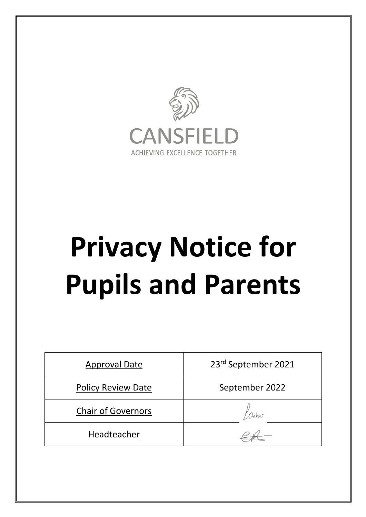

# **Privacy Notice for Pupils and Parents**

| <b>Approval Date</b>      | 23rd September 2021 |
|---------------------------|---------------------|
| <b>Policy Review Date</b> | September 2022      |
| <b>Chair of Governors</b> | aches.              |
| Headteacher               |                     |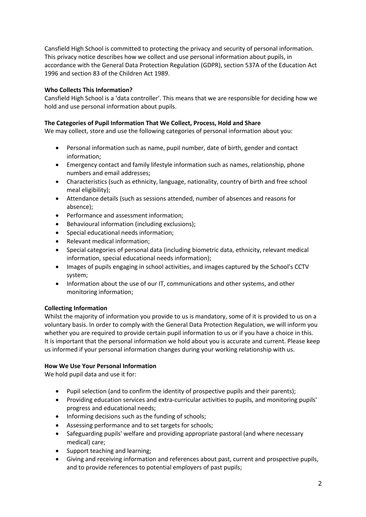Cansfield High School is committed to protecting the privacy and security of personal information. This privacy notice describes how we collect and use personal information about pupils, in accordance with the General Data Protection Regulation (GDPR), section 537A of the Education Act 1996 and section 83 of the Children Act 1989.

## **Who Collects This Information?**

Cansfield High School is a 'data controller'. This means that we are responsible for deciding how we hold and use personal information about pupils.

# **The Categories of Pupil Information That We Collect, Process, Hold and Share**

We may collect, store and use the following categories of personal information about you:

- Personal information such as name, pupil number, date of birth, gender and contact information;
- Emergency contact and family lifestyle information such as names, relationship, phone numbers and email addresses;
- Characteristics (such as ethnicity, language, nationality, country of birth and free school meal eligibility);
- Attendance details (such as sessions attended, number of absences and reasons for absence);
- Performance and assessment information;
- Behavioural information (including exclusions);
- Special educational needs information;
- Relevant medical information;
- Special categories of personal data (including biometric data, ethnicity, relevant medical information, special educational needs information);
- Images of pupils engaging in school activities, and images captured by the School's CCTV system;
- Information about the use of our IT, communications and other systems, and other monitoring information;

## **Collecting Information**

Whilst the majority of information you provide to us is mandatory, some of it is provided to us on a voluntary basis. In order to comply with the General Data Protection Regulation, we will inform you whether you are required to provide certain pupil information to us or if you have a choice in this. It is important that the personal information we hold about you is accurate and current. Please keep us informed if your personal information changes during your working relationship with us.

## **How We Use Your Personal Information**

We hold pupil data and use it for:

- Pupil selection (and to confirm the identity of prospective pupils and their parents);
- Providing education services and extra-curricular activities to pupils, and monitoring pupils' progress and educational needs;
- Informing decisions such as the funding of schools;
- Assessing performance and to set targets for schools;
- Safeguarding pupils' welfare and providing appropriate pastoral (and where necessary medical) care;
- Support teaching and learning;
- Giving and receiving information and references about past, current and prospective pupils, and to provide references to potential employers of past pupils;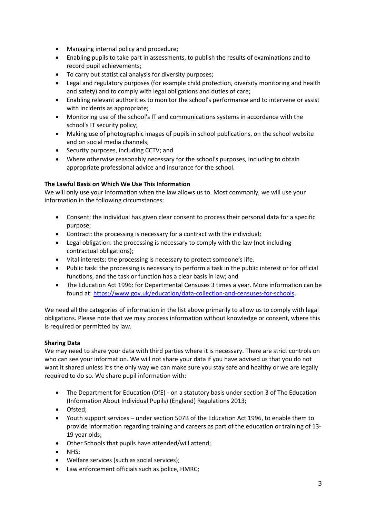- Managing internal policy and procedure;
- Enabling pupils to take part in assessments, to publish the results of examinations and to record pupil achievements;
- To carry out statistical analysis for diversity purposes;
- Legal and regulatory purposes (for example child protection, diversity monitoring and health and safety) and to comply with legal obligations and duties of care;
- Enabling relevant authorities to monitor the school's performance and to intervene or assist with incidents as appropriate;
- Monitoring use of the school's IT and communications systems in accordance with the school's IT security policy;
- Making use of photographic images of pupils in school publications, on the school website and on social media channels;
- Security purposes, including CCTV; and
- Where otherwise reasonably necessary for the school's purposes, including to obtain appropriate professional advice and insurance for the school.

# **The Lawful Basis on Which We Use This Information**

We will only use your information when the law allows us to. Most commonly, we will use your information in the following circumstances:

- Consent: the individual has given clear consent to process their personal data for a specific purpose;
- Contract: the processing is necessary for a contract with the individual;
- Legal obligation: the processing is necessary to comply with the law (not including contractual obligations);
- Vital interests: the processing is necessary to protect someone's life.
- Public task: the processing is necessary to perform a task in the public interest or for official functions, and the task or function has a clear basis in law; and
- The Education Act 1996: for Departmental Censuses 3 times a year. More information can be found at: https://www.gov.uk/education/data-collection-and-censuses-for-schools.

We need all the categories of information in the list above primarily to allow us to comply with legal obligations. Please note that we may process information without knowledge or consent, where this is required or permitted by law.

## **Sharing Data**

We may need to share your data with third parties where it is necessary. There are strict controls on who can see your information. We will not share your data if you have advised us that you do not want it shared unless it's the only way we can make sure you stay safe and healthy or we are legally required to do so. We share pupil information with:

- The Department for Education (DfE) on a statutory basis under section 3 of The Education (Information About Individual Pupils) (England) Regulations 2013;
- Ofsted;
- Youth support services under section 507B of the Education Act 1996, to enable them to provide information regarding training and careers as part of the education or training of 13- 19 year olds;
- Other Schools that pupils have attended/will attend;
- NHS;
- Welfare services (such as social services);
- Law enforcement officials such as police, HMRC;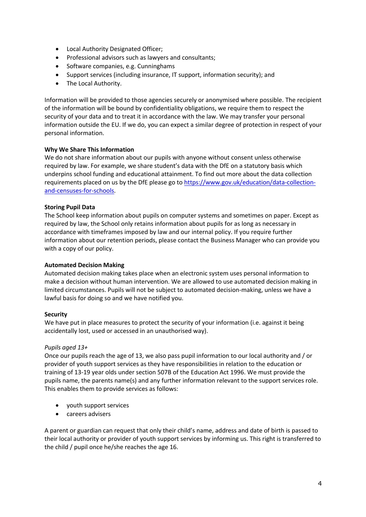- Local Authority Designated Officer;
- Professional advisors such as lawyers and consultants;
- Software companies, e.g. Cunninghams
- Support services (including insurance, IT support, information security); and
- The Local Authority.

Information will be provided to those agencies securely or anonymised where possible. The recipient of the information will be bound by confidentiality obligations, we require them to respect the security of your data and to treat it in accordance with the law. We may transfer your personal information outside the EU. If we do, you can expect a similar degree of protection in respect of your personal information.

### **Why We Share This Information**

We do not share information about our pupils with anyone without consent unless otherwise required by law. For example, we share student's data with the DfE on a statutory basis which underpins school funding and educational attainment. To find out more about the data collection requirements placed on us by the DfE please go to https://www.gov.uk/education/data-collectionand-censuses-for-schools.

#### **Storing Pupil Data**

The School keep information about pupils on computer systems and sometimes on paper. Except as required by law, the School only retains information about pupils for as long as necessary in accordance with timeframes imposed by law and our internal policy. If you require further information about our retention periods, please contact the Business Manager who can provide you with a copy of our policy.

#### **Automated Decision Making**

Automated decision making takes place when an electronic system uses personal information to make a decision without human intervention. We are allowed to use automated decision making in limited circumstances. Pupils will not be subject to automated decision-making, unless we have a lawful basis for doing so and we have notified you.

#### **Security**

We have put in place measures to protect the security of your information (i.e. against it being accidentally lost, used or accessed in an unauthorised way).

#### *Pupils aged 13+*

Once our pupils reach the age of 13, we also pass pupil information to our local authority and / or provider of youth support services as they have responsibilities in relation to the education or training of 13-19 year olds under section 507B of the Education Act 1996. We must provide the pupils name, the parents name(s) and any further information relevant to the support services role. This enables them to provide services as follows:

- youth support services
- careers advisers

A parent or guardian can request that only their child's name, address and date of birth is passed to their local authority or provider of youth support services by informing us. This right is transferred to the child / pupil once he/she reaches the age 16.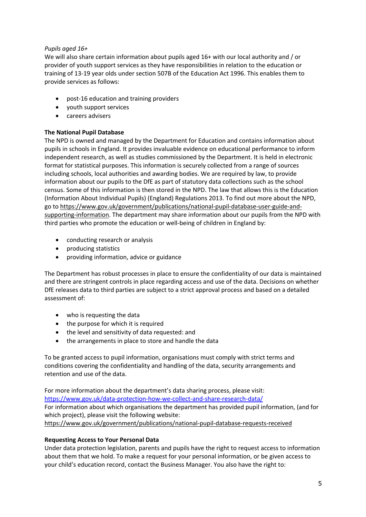## *Pupils aged 16+*

We will also share certain information about pupils aged 16+ with our local authority and / or provider of youth support services as they have responsibilities in relation to the education or training of 13-19 year olds under section 507B of the Education Act 1996. This enables them to provide services as follows:

- post-16 education and training providers
- youth support services
- careers advisers

## **The National Pupil Database**

The NPD is owned and managed by the Department for Education and contains information about pupils in schools in England. It provides invaluable evidence on educational performance to inform independent research, as well as studies commissioned by the Department. It is held in electronic format for statistical purposes. This information is securely collected from a range of sources including schools, local authorities and awarding bodies. We are required by law, to provide information about our pupils to the DfE as part of statutory data collections such as the school census. Some of this information is then stored in the NPD. The law that allows this is the Education (Information About Individual Pupils) (England) Regulations 2013. To find out more about the NPD, go to https://www.gov.uk/government/publications/national-pupil-database-user-guide-andsupporting-information. The department may share information about our pupils from the NPD with third parties who promote the education or well-being of children in England by:

- conducting research or analysis
- producing statistics
- providing information, advice or guidance

The Department has robust processes in place to ensure the confidentiality of our data is maintained and there are stringent controls in place regarding access and use of the data. Decisions on whether DfE releases data to third parties are subject to a strict approval process and based on a detailed assessment of:

- who is requesting the data
- the purpose for which it is required
- the level and sensitivity of data requested: and
- the arrangements in place to store and handle the data

To be granted access to pupil information, organisations must comply with strict terms and conditions covering the confidentiality and handling of the data, security arrangements and retention and use of the data.

For more information about the department's data sharing process, please visit: https://www.gov.uk/data-protection-how-we-collect-and-share-research-data/ For information about which organisations the department has provided pupil information, (and for which project), please visit the following website: https://www.gov.uk/government/publications/national-pupil-database-requests-received

## **Requesting Access to Your Personal Data**

Under data protection legislation, parents and pupils have the right to request access to information about them that we hold. To make a request for your personal information, or be given access to your child's education record, contact the Business Manager. You also have the right to: